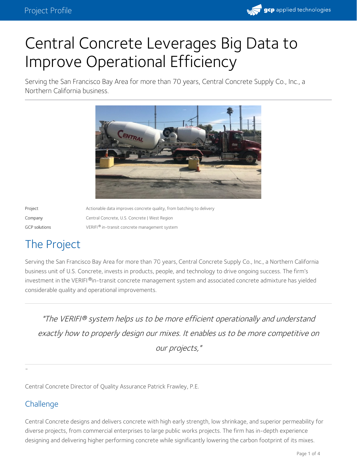

# Central Concrete Leverages Big Data to Improve Operational Efficiency

Serving the San Francisco Bay Area for more than 70 years, Central Concrete Supply Co., Inc., a Northern California business.



Project **Actionable data improves concrete quality**, from batching to delivery Company Central Concrete, U.S. Concrete | West Region GCP solutions **SACC** VERIFI® in-transit concrete management system

## The Project

Serving the San Francisco Bay Area for more than 70 years, Central [Concrete](https://www.centralconcrete.com/) Supply Co., Inc., a Northern California business unit of U.S. Concrete, invests in products, people, and technology to drive ongoing success. The firm's investment in the VERIFI ®in-transit concrete [management](https://gcpat.com/solutions/products/verifi-transit-concrete-management) system and associated concrete admixture has yielded considerable quality and operational improvements.

"The VERIFI® system helps us to be more efficient operationally and understand exactly how to properly design our mixes. It enables us to be more competitive on our projects,"

Central Concrete Director of Quality Assurance Patrick Frawley, P.E.

## **Challenge**

-

Central Concrete designs and delivers concrete with high early strength, low shrinkage, and superior permeability for diverse projects, from commercial enterprises to large public works projects. The firm has in-depth experience designing and delivering higher performing concrete while significantly lowering the carbon footprint of its mixes.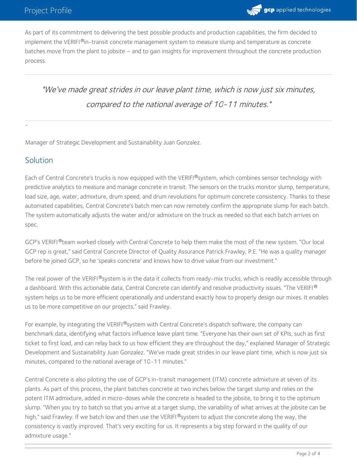

As part of its commitment to delivering the best possible products and production capabilities, the firm decided to implement the VERIFI®in-transit concrete [management](https://gcpat.com/solutions/products/verifi-transit-concrete-management#overview) system to measure slump and temperature as concrete batches move from the plant to jobsite – and to gain insights for improvement throughout the concrete production process.

## "We've made great strides in our leave plant time, which is now just six minutes, compared to the national average of 10-11 minutes."

-Manager of Strategic Development and Sustainability Juan Gonzalez.

### **Solution**

Each of Central Concrete's trucks is now equipped with the VERIFI®system, which combines sensor technology with predictive analytics to measure and manage concrete in transit. The sensors on the trucks monitor slump, temperature, load size, age, water, admixture, drum speed, and drum revolutions for optimum concrete consistency. Thanks to these automated capabilities, Central Concrete's batch men can now remotely confirm the appropriate slump for each batch. The system automatically adjusts the water and/or admixture on the truck as needed so that each batch arrives on spec.

GCP's VERIFI®team worked closely with Central Concrete to help them make the most of the new system. "Our local GCP rep is great," said Central Concrete Director of Quality Assurance Patrick Frawley, P.E. "He was a quality manager before he joined GCP, so he 'speaks concrete' and knows how to drive value from our investment."

The real power of the VERIFI®system is in the data it collects from ready-mix trucks, which is readily accessible through a dashboard. With this actionable data, Central Concrete can identify and resolve productivity issues. "The VERIFI ® system helps us to be more efficient operationally and understand exactly how to properly design our mixes. It enables us to be more competitive on our projects," said Frawley.

For example, by integrating the VERIFI®system with Central Concrete's dispatch software, the company can benchmark data, identifying what factors influence leave plant time. "Everyone has their own set of KPIs, such as first ticket to first load, and can relay back to us how efficient they are throughout the day," explained Manager of Strategic Development and Sustainability Juan Gonzalez. "We've made great strides in our leave plant time, which is now just six minutes, compared to the national average of 10-11 minutes."

Central Concrete is also piloting the use of GCP's in-transit management (ITM) concrete admixture at seven of its plants. As part of this process, the plant batches concrete at two inches below the target slump and relies on the potent ITM admixture, added in micro-doses while the concrete is headed to the jobsite, to bring it to the optimum slump. "When you try to batch so that you arrive at a target slump, the variability of what arrives at the jobsite can be high," said Frawley. If we batch low and then use the VERIFI ®system to adjust the concrete along the way, the consistency is vastly improved. That's very exciting for us. It represents a big step forward in the quality of our admixture usage."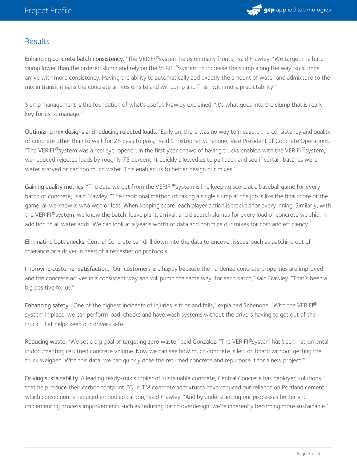

## **Results**

Enhancing concrete batch consistency. "The VERIFI®system helps on many fronts," said Frawley. "We target the batch slump lower than the ordered slump and rely on the VERIFI®system to increase the slump along the way, so slumps arrive with more consistency. Having the ability to automatically add exactly the amount of water and admixture to the mix in transit means the concrete arrives on site and will pump and finish with more predictability."

Slump management is the foundation of what's useful, Frawley explained. "It's what goes into the slump that is really key for us to manage."

Optimizing mix designs and reducing rejected loads. "Early on, there was no way to measure the consistency and quality of concrete other than to wait for 28 days to pass," said Christopher Schenone, Vice President of Concrete Operations. "The VERIFI ®system was a real eye-opener. In the first year or two of having trucks enabled with the VERIFI ®system, we reduced rejected loads by roughly 75 percent. It quickly allowed us to pull back and see if certain batches were water starved or had too much water. This enabled us to better design our mixes."

**Gaining quality metrics.** "The data we get from the VERIFI®system is like keeping score at a baseball game for every batch of concrete," said Frawley. "The traditional method of taking a single slump at the job is like the final score of the game; all we know is who won or lost. When keeping score, each player action is tracked for every inning. Similarly, with the VERIFI®system, we know the batch, leave plant, arrival, and dispatch slumps for every load of concrete we ship, in addition to all water adds. We can look at a year's worth of data and optimize our mixes for cost and efficiency."

Eliminating bottlenecks. Central Concrete can drill down into the data to uncover issues, such as batching out of tolerance or a driver in need of a refresher on protocols.

Improving customer satisfaction. "Our customers are happy because the hardened concrete properties are improved and the concrete arrives in a consistent way and will pump the same way, for each batch," said Frawley. "That's been a big positive for us."

Enhancing safety. "One of the highest incidents of injuries is trips and falls," explained Schenone. "With the VERIFI ® system in place, we can perform load-checks and have wash systems without the drivers having to get out of the truck. That helps keep our drivers safe."

Reducing waste. "We set a big goal of targeting zero waste," said Gonzalez. "The VERIFI®system has been instrumental in documenting returned concrete volume. Now we can see how much concrete is left on board without getting the truck weighed. With this data, we can quickly dose the returned concrete and repurpose it for a new project."

Driving sustainability. A leading ready-mix supplier of sustainable concrete, Central Concrete has deployed solutions that help reduce their carbon footprint. "Our ITM concrete admixtures have reduced our reliance on Portland cement, which consequently reduced embodied carbon," said Frawley. "And by understanding our processes better and implementing process improvements such as reducing batch overdesign, we're inherently becoming more sustainable."